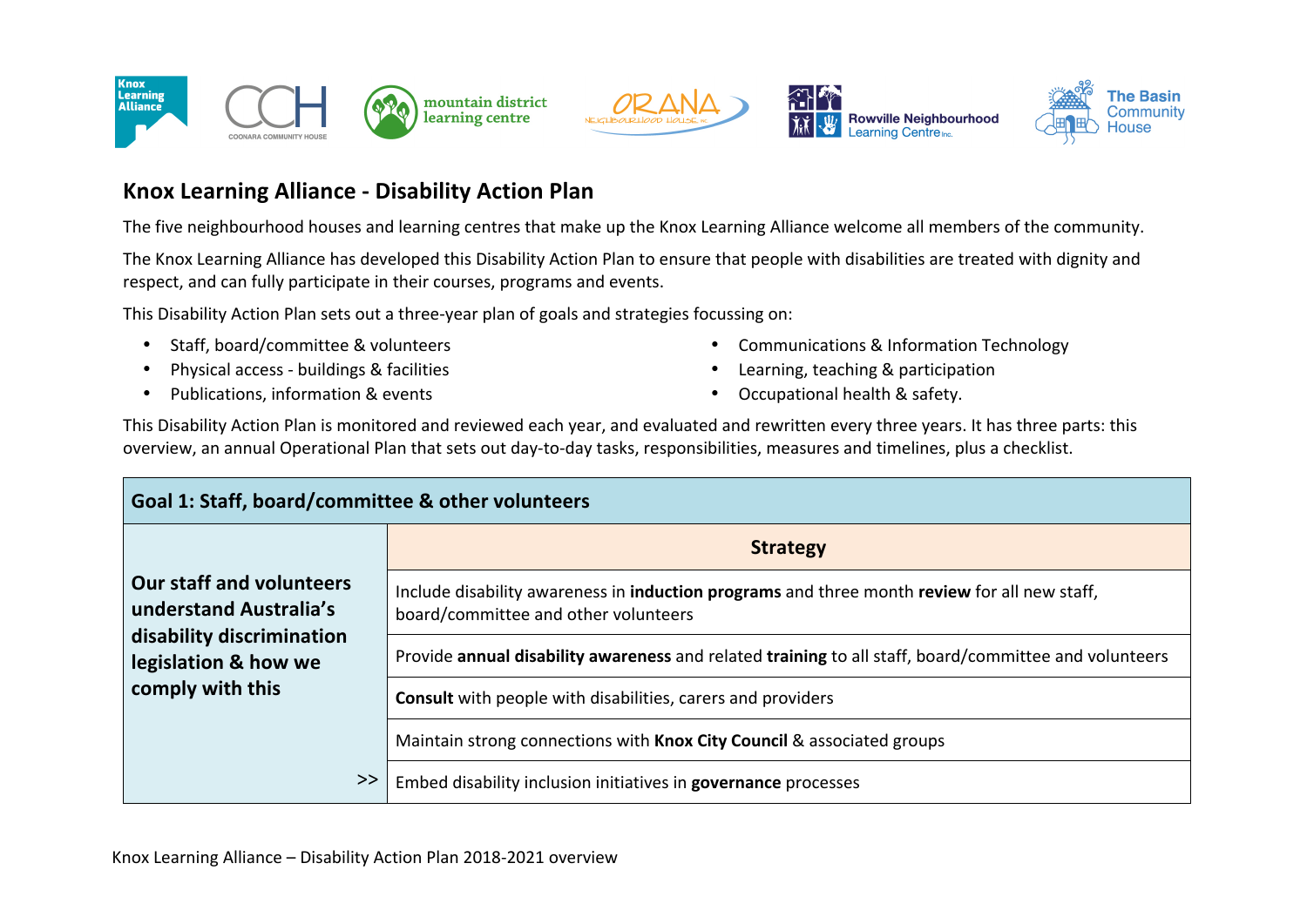







## **Knox Learning Alliance - Disability Action Plan**

The five neighbourhood houses and learning centres that make up the Knox Learning Alliance welcome all members of the community.

The Knox Learning Alliance has developed this Disability Action Plan to ensure that people with disabilities are treated with dignity and respect, and can fully participate in their courses, programs and events.

This Disability Action Plan sets out a three-year plan of goals and strategies focussing on:

- Staff, board/committee & volunteers
- Physical access buildings & facilities
- Publications, information & events
- Communications & Information Technology
- Learning, teaching & participation
- Occupational health & safety.

This Disability Action Plan is monitored and reviewed each year, and evaluated and rewritten every three years. It has three parts: this overview, an annual Operational Plan that sets out day-to-day tasks, responsibilities, measures and timelines, plus a checklist.

| Goal 1: Staff, board/committee & other volunteers                                                                                  |                                                                                                                                             |
|------------------------------------------------------------------------------------------------------------------------------------|---------------------------------------------------------------------------------------------------------------------------------------------|
| <b>Our staff and volunteers</b><br>understand Australia's<br>disability discrimination<br>legislation & how we<br>comply with this | <b>Strategy</b>                                                                                                                             |
|                                                                                                                                    | Include disability awareness in <b>induction programs</b> and three month review for all new staff,<br>board/committee and other volunteers |
|                                                                                                                                    | Provide annual disability awareness and related training to all staff, board/committee and volunteers                                       |
|                                                                                                                                    | <b>Consult</b> with people with disabilities, carers and providers                                                                          |
|                                                                                                                                    | Maintain strong connections with Knox City Council & associated groups                                                                      |
| >>                                                                                                                                 | Embed disability inclusion initiatives in governance processes                                                                              |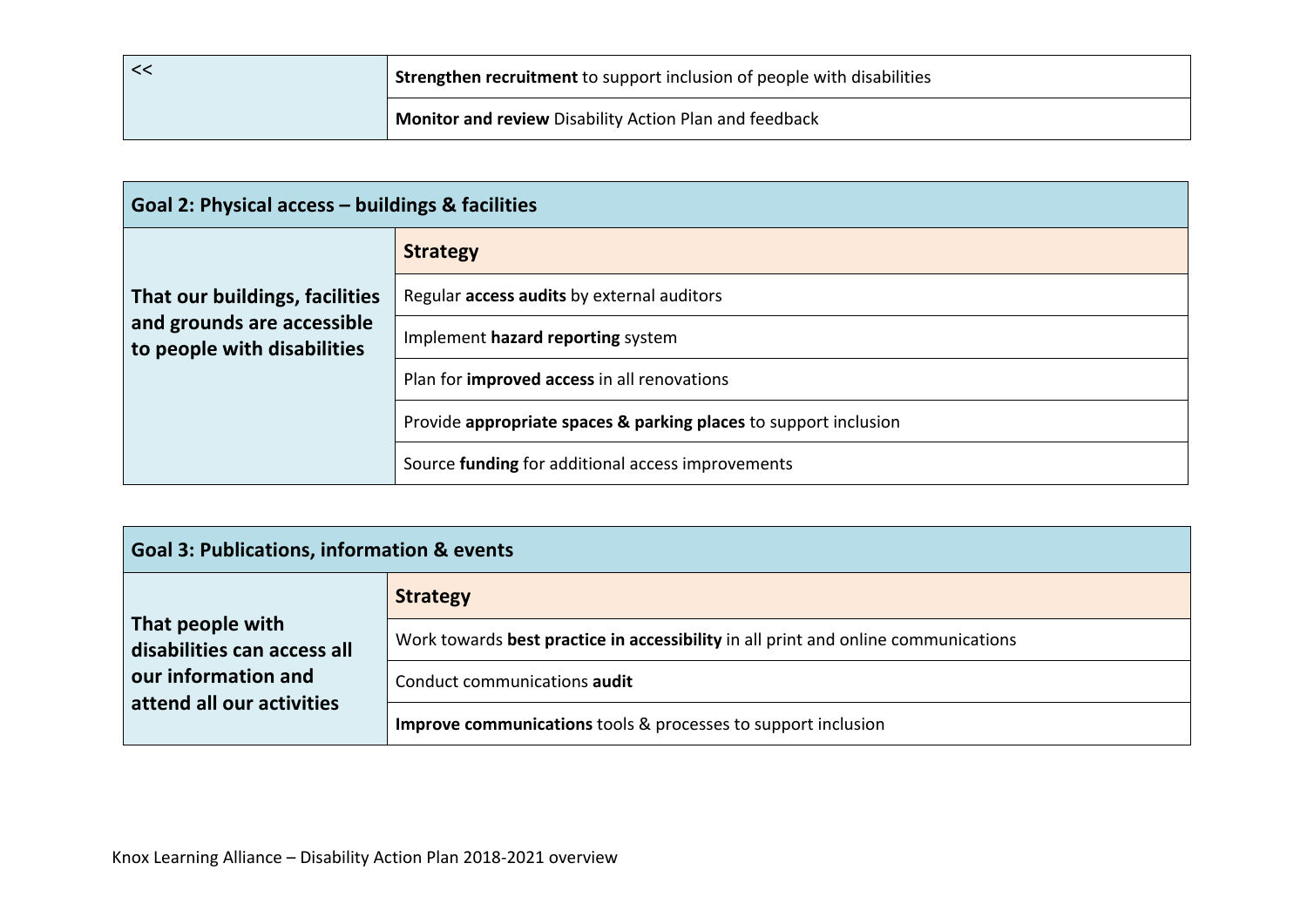|  | <b>Strengthen recruitment to support inclusion of people with disabilities</b> |
|--|--------------------------------------------------------------------------------|
|  | Monitor and review Disability Action Plan and feedback                         |

| Goal 2: Physical access - buildings & facilities                                            |                                                                  |
|---------------------------------------------------------------------------------------------|------------------------------------------------------------------|
| That our buildings, facilities<br>and grounds are accessible<br>to people with disabilities | <b>Strategy</b>                                                  |
|                                                                                             | Regular access audits by external auditors                       |
|                                                                                             | Implement hazard reporting system                                |
|                                                                                             | Plan for <b>improved access</b> in all renovations               |
|                                                                                             | Provide appropriate spaces & parking places to support inclusion |
|                                                                                             | Source funding for additional access improvements                |

| <b>Goal 3: Publications, information &amp; events</b>                                               |                                                                                    |  |
|-----------------------------------------------------------------------------------------------------|------------------------------------------------------------------------------------|--|
| That people with<br>disabilities can access all<br>our information and<br>attend all our activities | <b>Strategy</b>                                                                    |  |
|                                                                                                     | Work towards best practice in accessibility in all print and online communications |  |
|                                                                                                     | Conduct communications audit                                                       |  |
|                                                                                                     | <b>Improve communications</b> tools & processes to support inclusion               |  |